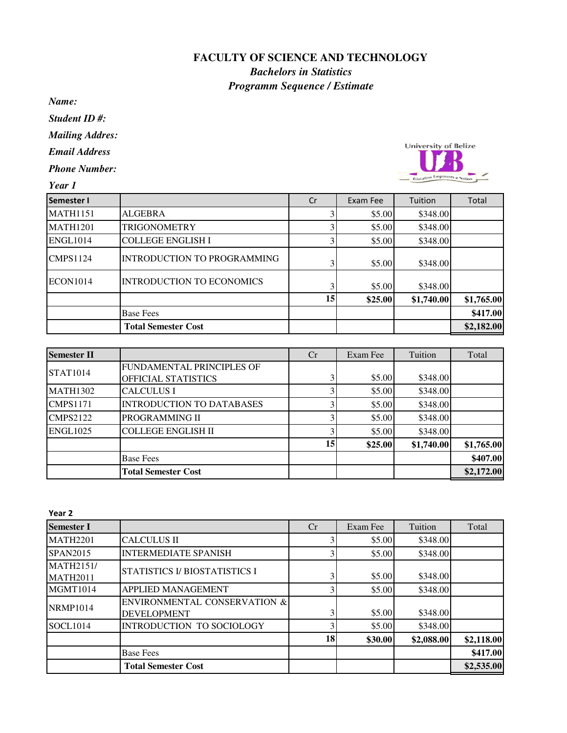## **FACULTY OF SCIENCE AND TECHNOLOGY**

## *Bachelors in Statistics Programm Sequence / Estimate*

*Name:*

*Student ID #:*

*Mailing Addres:*

*Email Address*

*Phone Number:*

University of Belize Education Emp

*Year 1*

| <b>Semester I</b> |                                  | Cr              | Exam Fee | Tuition    | Total      |
|-------------------|----------------------------------|-----------------|----------|------------|------------|
| <b>MATH1151</b>   | <b>ALGEBRA</b>                   |                 | \$5.00   | \$348.00   |            |
| <b>MATH1201</b>   | <b>TRIGONOMETRY</b>              |                 | \$5.00   | \$348.00   |            |
| ENGL1014          | <b>COLLEGE ENGLISH I</b>         |                 | \$5.00   | \$348.00   |            |
| <b>CMPS1124</b>   | INTRODUCTION TO PROGRAMMING      |                 | \$5.00   | \$348.00   |            |
| <b>ECON1014</b>   | <b>INTRODUCTION TO ECONOMICS</b> |                 | \$5.00   | \$348.00   |            |
|                   |                                  | 15 <sup>1</sup> | \$25.00  | \$1,740.00 | \$1,765.00 |
|                   | <b>Base Fees</b>                 |                 |          |            | \$417.00   |
|                   | <b>Total Semester Cost</b>       |                 |          |            | \$2,182.00 |

| <b>Semester II</b> |                                  | Cr | Exam Fee | Tuition    | Total      |
|--------------------|----------------------------------|----|----------|------------|------------|
|                    | FUNDAMENTAL PRINCIPLES OF        |    |          |            |            |
| <b>STAT1014</b>    | OFFICIAL STATISTICS              |    | \$5.00   | \$348.00   |            |
| <b>MATH1302</b>    | <b>CALCULUS I</b>                |    | \$5.00   | \$348.00   |            |
| <b>CMPS1171</b>    | <b>INTRODUCTION TO DATABASES</b> |    | \$5.00   | \$348.00   |            |
| <b>CMPS2122</b>    | PROGRAMMING II                   |    | \$5.00   | \$348.00   |            |
| <b>ENGL1025</b>    | <b>COLLEGE ENGLISH II</b>        |    | \$5.00   | \$348.00   |            |
|                    |                                  | 15 | \$25.00  | \$1,740.00 | \$1,765.00 |
|                    | <b>Base Fees</b>                 |    |          |            | \$407.00   |
|                    | <b>Total Semester Cost</b>       |    |          |            | \$2,172.00 |

|                                                    | Cr | Exam Fee | Tuition    | Total            |
|----------------------------------------------------|----|----------|------------|------------------|
| <b>CALCULUS II</b>                                 |    |          | \$348.00   |                  |
| <b>INTERMEDIATE SPANISH</b>                        |    | \$5.00   | \$348.00   |                  |
| STATISTICS I/ BIOSTATISTICS I                      |    | \$5.00   | \$348.00   |                  |
| APPLIED MANAGEMENT                                 |    |          | \$348.00   |                  |
| ENVIRONMENTAL CONSERVATION &<br><b>DEVELOPMENT</b> |    | \$5.00   | \$348.00   |                  |
| INTRODUCTION TO SOCIOLOGY                          |    | \$5.00   | \$348.00   |                  |
|                                                    | 18 | \$30.00  | \$2,088.00 | \$2,118.00       |
| <b>Base Fees</b>                                   |    |          |            | \$417.00         |
| <b>Total Semester Cost</b>                         |    |          |            | \$2,535.00       |
|                                                    |    |          |            | \$5.00<br>\$5.00 |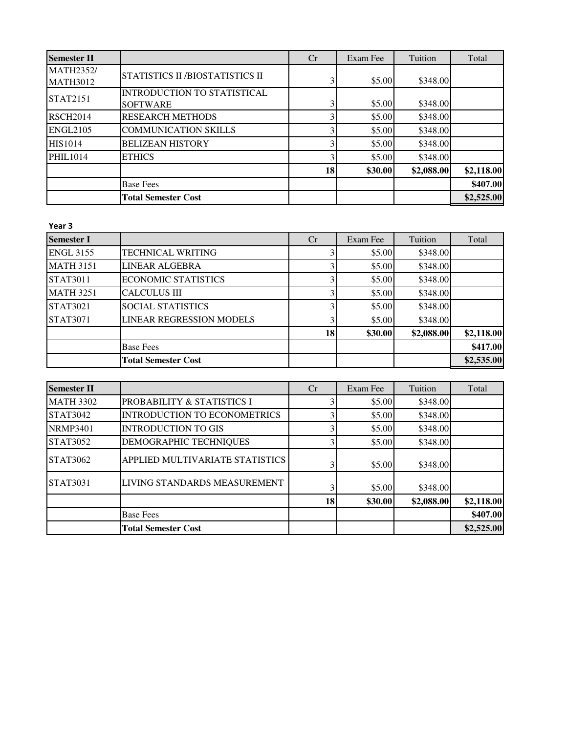| <b>Semester II</b>                  |                                                       | Cr | Exam Fee | Tuition    | Total      |
|-------------------------------------|-------------------------------------------------------|----|----------|------------|------------|
| <b>MATH2352/</b><br><b>MATH3012</b> | STATISTICS II /BIOSTATISTICS II                       |    | \$5.00   | \$348.00   |            |
| <b>STAT2151</b>                     | <b>INTRODUCTION TO STATISTICAL</b><br><b>SOFTWARE</b> |    | \$5.00   | \$348.00   |            |
| <b>RSCH2014</b>                     | <b>RESEARCH METHODS</b>                               |    | \$5.00   | \$348.00   |            |
| <b>ENGL2105</b>                     | <b>COMMUNICATION SKILLS</b>                           |    | \$5.00   | \$348.00   |            |
| HIS1014                             | <b>BELIZEAN HISTORY</b>                               |    | \$5.00   | \$348.00   |            |
| <b>PHIL1014</b>                     | <b>ETHICS</b>                                         |    | \$5.00   | \$348.00   |            |
|                                     |                                                       | 18 | \$30.00  | \$2,088.00 | \$2,118.00 |
|                                     | <b>Base Fees</b>                                      |    |          |            | \$407.00   |
|                                     | <b>Total Semester Cost</b>                            |    |          |            | \$2,525.00 |

## Year 3

| <b>Semester I</b> |                                 | Cr | Exam Fee | Tuition    | Total      |
|-------------------|---------------------------------|----|----------|------------|------------|
| <b>ENGL 3155</b>  | TECHNICAL WRITING               |    | \$5.00   | \$348.00   |            |
| <b>MATH 3151</b>  | LINEAR ALGEBRA                  |    | \$5.00   | \$348.00   |            |
| <b>STAT3011</b>   | <b>ECONOMIC STATISTICS</b>      |    | \$5.00   | \$348.00   |            |
| <b>MATH 3251</b>  | <b>CALCULUS III</b>             |    | \$5.00   | \$348.00   |            |
| <b>STAT3021</b>   | <b>SOCIAL STATISTICS</b>        |    | \$5.00   | \$348.00   |            |
| <b>STAT3071</b>   | <b>LINEAR REGRESSION MODELS</b> |    | \$5.00   | \$348.00   |            |
|                   |                                 | 18 | \$30.00  | \$2,088.00 | \$2,118.00 |
|                   | <b>Base Fees</b>                |    |          |            | \$417.00   |
|                   | <b>Total Semester Cost</b>      |    |          |            | \$2,535.00 |

| <b>Semester II</b> |                                     | Cr | Exam Fee | Tuition    | Total      |
|--------------------|-------------------------------------|----|----------|------------|------------|
| <b>MATH 3302</b>   | PROBABILITY & STATISTICS I          |    | \$5.00   | \$348.00   |            |
| <b>STAT3042</b>    | <b>INTRODUCTION TO ECONOMETRICS</b> |    | \$5.00   | \$348.00   |            |
| <b>NRMP3401</b>    | <b>INTRODUCTION TO GIS</b>          |    | \$5.00   | \$348.00   |            |
| STAT3052           | DEMOGRAPHIC TECHNIQUES              |    | \$5.00   | \$348.00   |            |
| STAT3062           | APPLIED MULTIVARIATE STATISTICS     |    | \$5.00   | \$348.00   |            |
| <b>STAT3031</b>    | LIVING STANDARDS MEASUREMENT        |    | \$5.00   | \$348.00   |            |
|                    |                                     | 18 | \$30.00  | \$2,088.00 | \$2,118.00 |
|                    | <b>Base Fees</b>                    |    |          |            | \$407.00   |
|                    | <b>Total Semester Cost</b>          |    |          |            | \$2,525.00 |